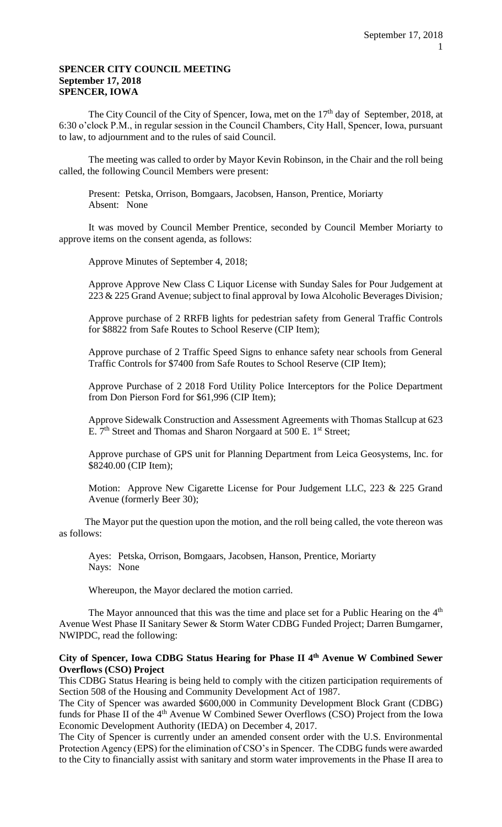### **SPENCER CITY COUNCIL MEETING September 17, 2018 SPENCER, IOWA**

The City Council of the City of Spencer, Iowa, met on the  $17<sup>th</sup>$  day of September, 2018, at 6:30 o'clock P.M., in regular session in the Council Chambers, City Hall, Spencer, Iowa, pursuant to law, to adjournment and to the rules of said Council.

The meeting was called to order by Mayor Kevin Robinson, in the Chair and the roll being called, the following Council Members were present:

Present: Petska, Orrison, Bomgaars, Jacobsen, Hanson, Prentice, Moriarty Absent: None

It was moved by Council Member Prentice, seconded by Council Member Moriarty to approve items on the consent agenda, as follows:

Approve Minutes of September 4, 2018;

Approve Approve New Class C Liquor License with Sunday Sales for Pour Judgement at 223 & 225 Grand Avenue; subject to final approval by Iowa Alcoholic Beverages Division*;* 

Approve purchase of 2 RRFB lights for pedestrian safety from General Traffic Controls for \$8822 from Safe Routes to School Reserve (CIP Item);

Approve purchase of 2 Traffic Speed Signs to enhance safety near schools from General Traffic Controls for \$7400 from Safe Routes to School Reserve (CIP Item);

Approve Purchase of 2 2018 Ford Utility Police Interceptors for the Police Department from Don Pierson Ford for \$61,996 (CIP Item);

Approve Sidewalk Construction and Assessment Agreements with Thomas Stallcup at 623 E. 7<sup>th</sup> Street and Thomas and Sharon Norgaard at 500 E. 1<sup>st</sup> Street;

Approve purchase of GPS unit for Planning Department from Leica Geosystems, Inc. for \$8240.00 (CIP Item);

Motion: Approve New Cigarette License for Pour Judgement LLC, 223 & 225 Grand Avenue (formerly Beer 30);

The Mayor put the question upon the motion, and the roll being called, the vote thereon was as follows:

Ayes: Petska, Orrison, Bomgaars, Jacobsen, Hanson, Prentice, Moriarty Nays: None

Whereupon, the Mayor declared the motion carried.

The Mayor announced that this was the time and place set for a Public Hearing on the 4<sup>th</sup> Avenue West Phase II Sanitary Sewer & Storm Water CDBG Funded Project; Darren Bumgarner, NWIPDC, read the following:

# **City of Spencer, Iowa CDBG Status Hearing for Phase II 4th Avenue W Combined Sewer Overflows (CSO) Project**

This CDBG Status Hearing is being held to comply with the citizen participation requirements of Section 508 of the Housing and Community Development Act of 1987.

The City of Spencer was awarded \$600,000 in Community Development Block Grant (CDBG) funds for Phase II of the 4<sup>th</sup> Avenue W Combined Sewer Overflows (CSO) Project from the Iowa Economic Development Authority (IEDA) on December 4, 2017.

The City of Spencer is currently under an amended consent order with the U.S. Environmental Protection Agency (EPS) for the elimination of CSO's in Spencer. The CDBG funds were awarded to the City to financially assist with sanitary and storm water improvements in the Phase II area to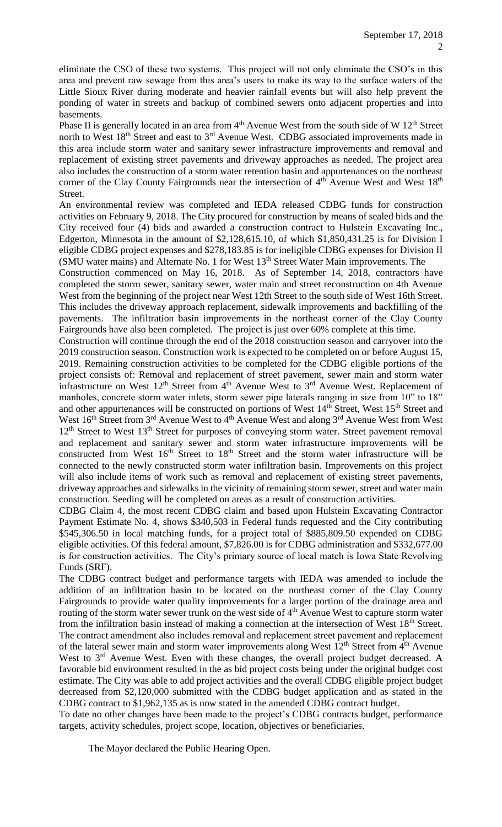eliminate the CSO of these two systems. This project will not only eliminate the CSO's in this area and prevent raw sewage from this area's users to make its way to the surface waters of the Little Sioux River during moderate and heavier rainfall events but will also help prevent the ponding of water in streets and backup of combined sewers onto adjacent properties and into basements.

Phase II is generally located in an area from 4<sup>th</sup> Avenue West from the south side of W 12<sup>th</sup> Street north to West 18<sup>th</sup> Street and east to 3<sup>rd</sup> Avenue West. CDBG associated improvements made in this area include storm water and sanitary sewer infrastructure improvements and removal and replacement of existing street pavements and driveway approaches as needed. The project area also includes the construction of a storm water retention basin and appurtenances on the northeast corner of the Clay County Fairgrounds near the intersection of  $4<sup>th</sup>$  Avenue West and West  $18<sup>th</sup>$ Street.

An environmental review was completed and IEDA released CDBG funds for construction activities on February 9, 2018. The City procured for construction by means of sealed bids and the City received four (4) bids and awarded a construction contract to Hulstein Excavating Inc., Edgerton, Minnesota in the amount of \$2,128,615.10, of which \$1,850,431.25 is for Division I eligible CDBG project expenses and \$278,183.85 is for ineligible CDBG expenses for Division II (SMU water mains) and Alternate No. 1 for West 13<sup>th</sup> Street Water Main improvements. The

Construction commenced on May 16, 2018. As of September 14, 2018, contractors have completed the storm sewer, sanitary sewer, water main and street reconstruction on 4th Avenue West from the beginning of the project near West 12th Street to the south side of West 16th Street. This includes the driveway approach replacement, sidewalk improvements and backfilling of the pavements. The infiltration basin improvements in the northeast corner of the Clay County Fairgrounds have also been completed. The project is just over 60% complete at this time.

Construction will continue through the end of the 2018 construction season and carryover into the 2019 construction season. Construction work is expected to be completed on or before August 15, 2019. Remaining construction activities to be completed for the CDBG eligible portions of the project consists of: Removal and replacement of street pavement, sewer main and storm water infrastructure on West 12<sup>th</sup> Street from 4<sup>th</sup> Avenue West to 3<sup>rd</sup> Avenue West. Replacement of manholes, concrete storm water inlets, storm sewer pipe laterals ranging in size from 10" to 18" and other appurtenances will be constructed on portions of West 14<sup>th</sup> Street, West 15<sup>th</sup> Street and West  $16<sup>th</sup>$  Street from  $3<sup>rd</sup>$  Avenue West to  $4<sup>th</sup>$  Avenue West and along  $3<sup>rd</sup>$  Avenue West from West 12<sup>th</sup> Street to West 13<sup>th</sup> Street for purposes of conveying storm water. Street pavement removal and replacement and sanitary sewer and storm water infrastructure improvements will be constructed from West  $16<sup>th</sup>$  Street to  $18<sup>th</sup>$  Street and the storm water infrastructure will be connected to the newly constructed storm water infiltration basin. Improvements on this project will also include items of work such as removal and replacement of existing street pavements, driveway approaches and sidewalks in the vicinity of remaining storm sewer, street and water main construction. Seeding will be completed on areas as a result of construction activities.

CDBG Claim 4, the most recent CDBG claim and based upon Hulstein Excavating Contractor Payment Estimate No. 4, shows \$340,503 in Federal funds requested and the City contributing \$545,306.50 in local matching funds, for a project total of \$885,809.50 expended on CDBG eligible activities. Of this federal amount, \$7,826.00 is for CDBG administration and \$332,677.00 is for construction activities. The City's primary source of local match is Iowa State Revolving Funds (SRF).

The CDBG contract budget and performance targets with IEDA was amended to include the addition of an infiltration basin to be located on the northeast corner of the Clay County Fairgrounds to provide water quality improvements for a larger portion of the drainage area and routing of the storm water sewer trunk on the west side of 4<sup>th</sup> Avenue West to capture storm water from the infiltration basin instead of making a connection at the intersection of West 18<sup>th</sup> Street. The contract amendment also includes removal and replacement street pavement and replacement of the lateral sewer main and storm water improvements along West 12<sup>th</sup> Street from 4<sup>th</sup> Avenue West to 3<sup>rd</sup> Avenue West. Even with these changes, the overall project budget decreased. A favorable bid environment resulted in the as bid project costs being under the original budget cost estimate. The City was able to add project activities and the overall CDBG eligible project budget decreased from \$2,120,000 submitted with the CDBG budget application and as stated in the CDBG contract to \$1,962,135 as is now stated in the amended CDBG contract budget.

To date no other changes have been made to the project's CDBG contracts budget, performance targets, activity schedules, project scope, location, objectives or beneficiaries.

The Mayor declared the Public Hearing Open.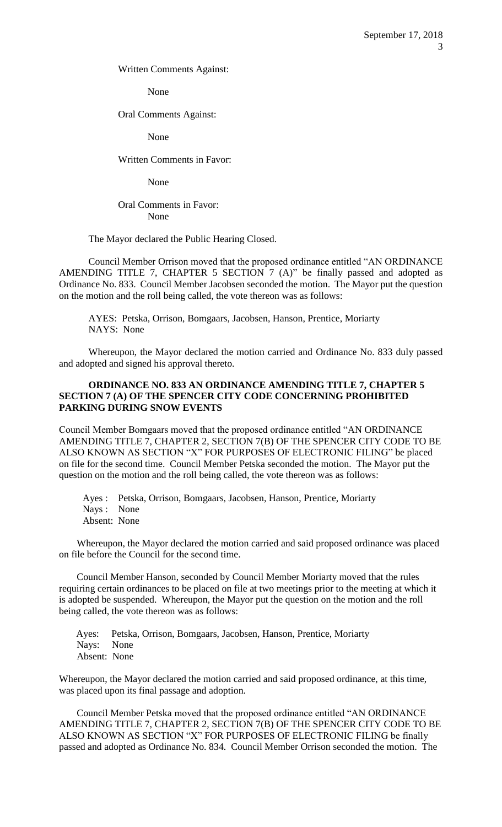Written Comments Against:

None

Oral Comments Against:

None

Written Comments in Favor:

None

## Oral Comments in Favor: None

#### The Mayor declared the Public Hearing Closed.

Council Member Orrison moved that the proposed ordinance entitled "AN ORDINANCE AMENDING TITLE 7, CHAPTER 5 SECTION 7 (A)" be finally passed and adopted as Ordinance No. 833. Council Member Jacobsen seconded the motion. The Mayor put the question on the motion and the roll being called, the vote thereon was as follows:

AYES: Petska, Orrison, Bomgaars, Jacobsen, Hanson, Prentice, Moriarty NAYS: None

Whereupon, the Mayor declared the motion carried and Ordinance No. 833 duly passed and adopted and signed his approval thereto.

#### **ORDINANCE NO. 833 AN ORDINANCE AMENDING TITLE 7, CHAPTER 5 SECTION 7 (A) OF THE SPENCER CITY CODE CONCERNING PROHIBITED PARKING DURING SNOW EVENTS**

Council Member Bomgaars moved that the proposed ordinance entitled "AN ORDINANCE AMENDING TITLE 7, CHAPTER 2, SECTION 7(B) OF THE SPENCER CITY CODE TO BE ALSO KNOWN AS SECTION "X" FOR PURPOSES OF ELECTRONIC FILING" be placed on file for the second time. Council Member Petska seconded the motion. The Mayor put the question on the motion and the roll being called, the vote thereon was as follows:

Ayes : Petska, Orrison, Bomgaars, Jacobsen, Hanson, Prentice, Moriarty Nays : None Absent: None

Whereupon, the Mayor declared the motion carried and said proposed ordinance was placed on file before the Council for the second time.

Council Member Hanson, seconded by Council Member Moriarty moved that the rules requiring certain ordinances to be placed on file at two meetings prior to the meeting at which it is adopted be suspended. Whereupon, the Mayor put the question on the motion and the roll being called, the vote thereon was as follows:

 Ayes: Petska, Orrison, Bomgaars, Jacobsen, Hanson, Prentice, Moriarty Nays: None Absent: None

Whereupon, the Mayor declared the motion carried and said proposed ordinance, at this time, was placed upon its final passage and adoption.

Council Member Petska moved that the proposed ordinance entitled "AN ORDINANCE AMENDING TITLE 7, CHAPTER 2, SECTION 7(B) OF THE SPENCER CITY CODE TO BE ALSO KNOWN AS SECTION "X" FOR PURPOSES OF ELECTRONIC FILING be finally passed and adopted as Ordinance No. 834. Council Member Orrison seconded the motion. The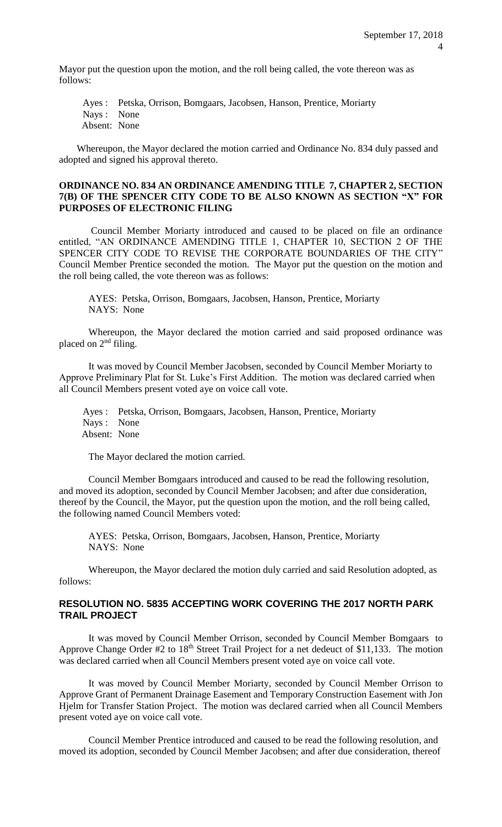Mayor put the question upon the motion, and the roll being called, the vote thereon was as follows:

Ayes : Petska, Orrison, Bomgaars, Jacobsen, Hanson, Prentice, Moriarty Nays : None Absent: None

Whereupon, the Mayor declared the motion carried and Ordinance No. 834 duly passed and adopted and signed his approval thereto.

#### **ORDINANCE NO. 834 AN ORDINANCE AMENDING TITLE 7, CHAPTER 2, SECTION 7(B) OF THE SPENCER CITY CODE TO BE ALSO KNOWN AS SECTION "X" FOR PURPOSES OF ELECTRONIC FILING**

Council Member Moriarty introduced and caused to be placed on file an ordinance entitled, "AN ORDINANCE AMENDING TITLE 1, CHAPTER 10, SECTION 2 OF THE SPENCER CITY CODE TO REVISE THE CORPORATE BOUNDARIES OF THE CITY" Council Member Prentice seconded the motion. The Mayor put the question on the motion and the roll being called, the vote thereon was as follows:

AYES: Petska, Orrison, Bomgaars, Jacobsen, Hanson, Prentice, Moriarty NAYS: None

Whereupon, the Mayor declared the motion carried and said proposed ordinance was placed on 2nd filing.

It was moved by Council Member Jacobsen, seconded by Council Member Moriarty to Approve Preliminary Plat for St. Luke's First Addition. The motion was declared carried when all Council Members present voted aye on voice call vote.

Ayes : Petska, Orrison, Bomgaars, Jacobsen, Hanson, Prentice, Moriarty Nays : None Absent: None

The Mayor declared the motion carried.

Council Member Bomgaars introduced and caused to be read the following resolution, and moved its adoption, seconded by Council Member Jacobsen; and after due consideration, thereof by the Council, the Mayor, put the question upon the motion, and the roll being called, the following named Council Members voted:

AYES: Petska, Orrison, Bomgaars, Jacobsen, Hanson, Prentice, Moriarty NAYS: None

Whereupon, the Mayor declared the motion duly carried and said Resolution adopted, as follows:

### **RESOLUTION NO. 5835 ACCEPTING WORK COVERING THE 2017 NORTH PARK TRAIL PROJECT**

It was moved by Council Member Orrison, seconded by Council Member Bomgaars to Approve Change Order #2 to 18<sup>th</sup> Street Trail Project for a net dedeuct of \$11,133. The motion was declared carried when all Council Members present voted aye on voice call vote.

It was moved by Council Member Moriarty, seconded by Council Member Orrison to Approve Grant of Permanent Drainage Easement and Temporary Construction Easement with Jon Hjelm for Transfer Station Project. The motion was declared carried when all Council Members present voted aye on voice call vote.

Council Member Prentice introduced and caused to be read the following resolution, and moved its adoption, seconded by Council Member Jacobsen; and after due consideration, thereof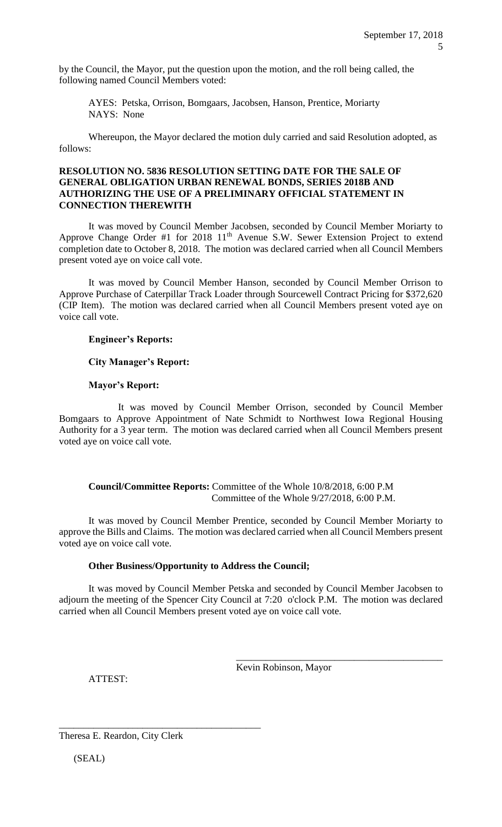by the Council, the Mayor, put the question upon the motion, and the roll being called, the following named Council Members voted:

AYES: Petska, Orrison, Bomgaars, Jacobsen, Hanson, Prentice, Moriarty NAYS: None

Whereupon, the Mayor declared the motion duly carried and said Resolution adopted, as follows:

### **RESOLUTION NO. 5836 RESOLUTION SETTING DATE FOR THE SALE OF GENERAL OBLIGATION URBAN RENEWAL BONDS, SERIES 2018B AND AUTHORIZING THE USE OF A PRELIMINARY OFFICIAL STATEMENT IN CONNECTION THEREWITH**

It was moved by Council Member Jacobsen, seconded by Council Member Moriarty to Approve Change Order #1 for 2018 11<sup>th</sup> Avenue S.W. Sewer Extension Project to extend completion date to October 8, 2018. The motion was declared carried when all Council Members present voted aye on voice call vote.

It was moved by Council Member Hanson, seconded by Council Member Orrison to Approve Purchase of Caterpillar Track Loader through Sourcewell Contract Pricing for \$372,620 (CIP Item). The motion was declared carried when all Council Members present voted aye on voice call vote.

### **Engineer's Reports:**

#### **City Manager's Report:**

#### **Mayor's Report:**

It was moved by Council Member Orrison, seconded by Council Member Bomgaars to Approve Appointment of Nate Schmidt to Northwest Iowa Regional Housing Authority for a 3 year term. The motion was declared carried when all Council Members present voted aye on voice call vote.

**Council/Committee Reports:** Committee of the Whole 10/8/2018, 6:00 P.M Committee of the Whole 9/27/2018, 6:00 P.M.

It was moved by Council Member Prentice, seconded by Council Member Moriarty to approve the Bills and Claims. The motion was declared carried when all Council Members present voted aye on voice call vote.

### **Other Business/Opportunity to Address the Council;**

It was moved by Council Member Petska and seconded by Council Member Jacobsen to adjourn the meeting of the Spencer City Council at 7:20 o'clock P.M. The motion was declared carried when all Council Members present voted aye on voice call vote.

ATTEST:

Kevin Robinson, Mayor

\_\_\_\_\_\_\_\_\_\_\_\_\_\_\_\_\_\_\_\_\_\_\_\_\_\_\_\_\_\_\_\_\_\_\_\_\_\_\_\_\_\_

Theresa E. Reardon, City Clerk

\_\_\_\_\_\_\_\_\_\_\_\_\_\_\_\_\_\_\_\_\_\_\_\_\_\_\_\_\_\_\_\_\_\_\_\_\_\_\_\_\_

(SEAL)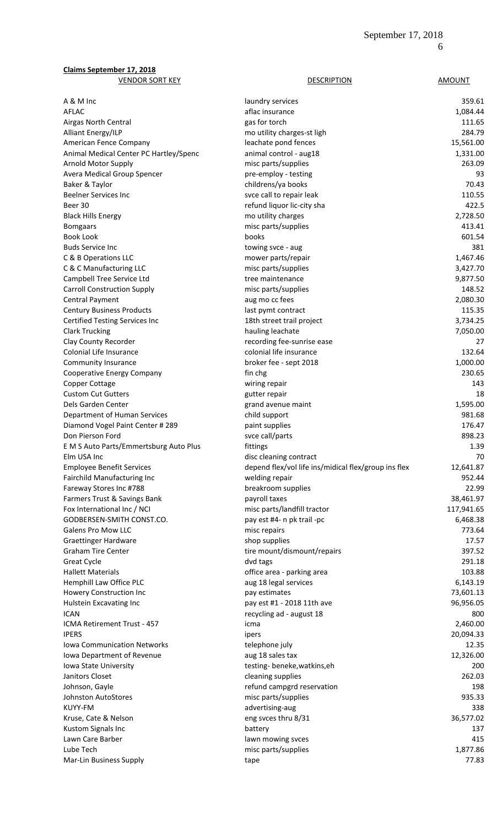| <b>Claims September 17, 2018</b>                     |                                                      |                  |
|------------------------------------------------------|------------------------------------------------------|------------------|
| <b>VENDOR SORT KEY</b>                               | <b>DESCRIPTION</b>                                   | <b>AMOUNT</b>    |
| A & M Inc                                            | laundry services                                     | 359.61           |
| AFLAC                                                | aflac insurance                                      | 1,084.44         |
| Airgas North Central                                 | gas for torch                                        | 111.65           |
| Alliant Energy/ILP                                   | mo utility charges-st ligh                           | 284.79           |
| American Fence Company                               | leachate pond fences                                 | 15,561.00        |
| Animal Medical Center PC Hartley/Spenc               | animal control - aug18                               | 1,331.00         |
| Arnold Motor Supply                                  | misc parts/supplies                                  | 263.09           |
| Avera Medical Group Spencer                          | pre-employ - testing                                 | 93               |
| Baker & Taylor                                       | childrens/ya books                                   | 70.43            |
| <b>Beelner Services Inc</b>                          | svce call to repair leak                             | 110.55           |
| Beer 30                                              | refund liquor lic-city sha                           | 422.5            |
| <b>Black Hills Energy</b>                            | mo utility charges                                   | 2,728.50         |
| <b>Bomgaars</b>                                      | misc parts/supplies                                  | 413.41           |
| <b>Book Look</b>                                     | books                                                | 601.54           |
| <b>Buds Service Inc</b>                              | towing svce - aug                                    | 381              |
| C & B Operations LLC                                 | mower parts/repair                                   | 1,467.46         |
| C & C Manufacturing LLC                              | misc parts/supplies                                  | 3,427.70         |
| Campbell Tree Service Ltd                            | tree maintenance                                     | 9,877.50         |
| <b>Carroll Construction Supply</b>                   | misc parts/supplies                                  | 148.52           |
| <b>Central Payment</b>                               | aug mo cc fees                                       | 2,080.30         |
| <b>Century Business Products</b>                     | last pymt contract                                   | 115.35           |
| <b>Certified Testing Services Inc</b>                | 18th street trail project                            | 3,734.25         |
| <b>Clark Trucking</b>                                | hauling leachate                                     | 7,050.00         |
| Clay County Recorder                                 | recording fee-sunrise ease                           | 27               |
| Colonial Life Insurance                              | colonial life insurance                              | 132.64           |
| <b>Community Insurance</b>                           | broker fee - sept 2018                               | 1,000.00         |
| Cooperative Energy Company                           | fin chg                                              | 230.65           |
| Copper Cottage                                       | wiring repair                                        | 143              |
| <b>Custom Cut Gutters</b>                            | gutter repair                                        | 18               |
| Dels Garden Center                                   | grand avenue maint                                   | 1,595.00         |
| Department of Human Services                         | child support                                        | 981.68           |
| Diamond Vogel Paint Center # 289<br>Don Pierson Ford | paint supplies<br>svce call/parts                    | 176.47<br>898.23 |
| E M S Auto Parts/Emmertsburg Auto Plus               | fittings                                             | 1.39             |
| Elm USA Inc                                          | disc cleaning contract                               | 70               |
| <b>Employee Benefit Services</b>                     | depend flex/vol life ins/midical flex/group ins flex | 12,641.87        |
| Fairchild Manufacturing Inc                          | welding repair                                       | 952.44           |
| Fareway Stores Inc #788                              | breakroom supplies                                   | 22.99            |
| Farmers Trust & Savings Bank                         | payroll taxes                                        | 38,461.97        |
| Fox International Inc / NCI                          | misc parts/landfill tractor                          | 117,941.65       |
| GODBERSEN-SMITH CONST.CO.                            | pay est #4- n pk trail -pc                           | 6,468.38         |
| <b>Galens Pro Mow LLC</b>                            | misc repairs                                         | 773.64           |
| <b>Graettinger Hardware</b>                          | shop supplies                                        | 17.57            |
| <b>Graham Tire Center</b>                            | tire mount/dismount/repairs                          | 397.52           |
| <b>Great Cycle</b>                                   | dvd tags                                             | 291.18           |
| <b>Hallett Materials</b>                             | office area - parking area                           | 103.88           |
| Hemphill Law Office PLC                              | aug 18 legal services                                | 6,143.19         |
| Howery Construction Inc                              | pay estimates                                        | 73,601.13        |
| Hulstein Excavating Inc                              | pay est #1 - 2018 11th ave                           | 96,956.05        |
| <b>ICAN</b>                                          | recycling ad - august 18                             | 800              |
| ICMA Retirement Trust - 457                          | icma                                                 | 2,460.00         |
| <b>IPERS</b>                                         | ipers                                                | 20,094.33        |
| <b>Iowa Communication Networks</b>                   | telephone july                                       | 12.35            |
| Iowa Department of Revenue                           | aug 18 sales tax                                     | 12,326.00        |
| Iowa State University                                | testing-beneke, watkins, eh                          | 200              |
| Janitors Closet                                      | cleaning supplies                                    | 262.03           |
| Johnson, Gayle                                       | refund campgrd reservation                           | 198              |
| <b>Johnston AutoStores</b>                           | misc parts/supplies                                  | 935.33           |
| KUYY-FM                                              | advertising-aug                                      | 338              |
| Kruse, Cate & Nelson                                 | eng svces thru 8/31                                  | 36,577.02        |
| Kustom Signals Inc                                   | battery                                              | 137              |
| Lawn Care Barber                                     | lawn mowing svces                                    | 415              |
| Lube Tech                                            | misc parts/supplies                                  | 1,877.86         |
| Mar-Lin Business Supply                              | tape                                                 | 77.83            |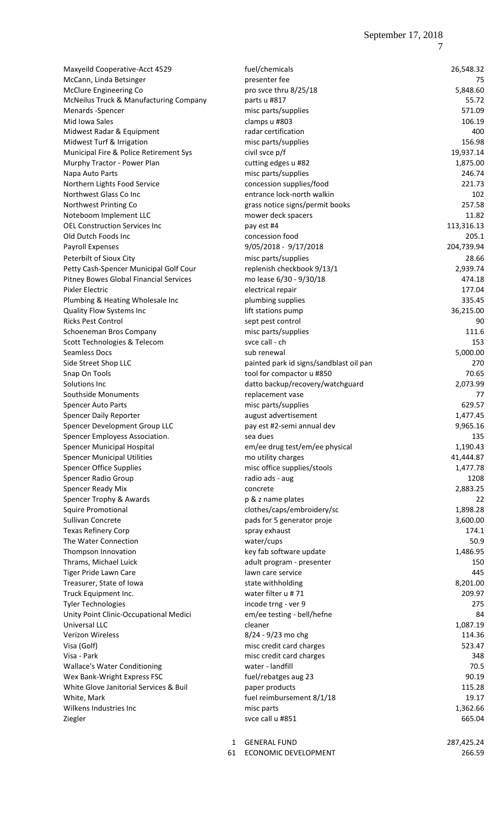| Maxyeild Cooperative-Acct 4529         | fuel/chemicals                          | 26,548.32  |
|----------------------------------------|-----------------------------------------|------------|
| McCann, Linda Betsinger                | presenter fee                           | 75         |
| McClure Engineering Co                 | pro svce thru 8/25/18                   | 5,848.60   |
| McNeilus Truck & Manufacturing Company | parts u #817                            | 55.72      |
| Menards - Spencer                      | misc parts/supplies                     | 571.09     |
| Mid Iowa Sales                         | clamps u #803                           | 106.19     |
| Midwest Radar & Equipment              | radar certification                     | 400        |
| Midwest Turf & Irrigation              | misc parts/supplies                     | 156.98     |
| Municipal Fire & Police Retirement Sys | civil svce p/f                          | 19,937.14  |
| Murphy Tractor - Power Plan            | cutting edges u #82                     | 1,875.00   |
| Napa Auto Parts                        | misc parts/supplies                     | 246.74     |
| Northern Lights Food Service           | concession supplies/food                | 221.73     |
| Northwest Glass Co Inc                 | entrance lock-north walkin              | 102        |
| Northwest Printing Co                  | grass notice signs/permit books         | 257.58     |
| Noteboom Implement LLC                 | mower deck spacers                      | 11.82      |
| <b>OEL Construction Services Inc</b>   | pay est #4                              | 113,316.13 |
| Old Dutch Foods Inc                    | concession food                         | 205.1      |
| Payroll Expenses                       | 9/05/2018 - 9/17/2018                   | 204,739.94 |
| Peterbilt of Sioux City                | misc parts/supplies                     | 28.66      |
| Petty Cash-Spencer Municipal Golf Cour | replenish checkbook 9/13/1              | 2,939.74   |
| Pitney Bowes Global Financial Services | mo lease 6/30 - 9/30/18                 | 474.18     |
| Pixler Electric                        | electrical repair                       | 177.04     |
| Plumbing & Heating Wholesale Inc       | plumbing supplies                       | 335.45     |
| Quality Flow Systems Inc               | lift stations pump                      | 36,215.00  |
| Ricks Pest Control                     | sept pest control                       | 90         |
| Schoeneman Bros Company                | misc parts/supplies                     | 111.6      |
| Scott Technologies & Telecom           | svce call - ch                          | 153        |
| Seamless Docs                          | sub renewal                             | 5,000.00   |
| Side Street Shop LLC                   | painted park id signs/sandblast oil pan | 270        |
| Snap On Tools                          | tool for compactor u #850               | 70.65      |
| Solutions Inc                          | datto backup/recovery/watchguard        | 2,073.99   |
| Southside Monuments                    | replacement vase                        | 77         |
| Spencer Auto Parts                     | misc parts/supplies                     | 629.57     |
| Spencer Daily Reporter                 | august advertisement                    | 1,477.45   |
| Spencer Development Group LLC          | pay est #2-semi annual dev              | 9,965.16   |
| Spencer Employess Association.         | sea dues                                | 135        |
| Spencer Municipal Hospital             | em/ee drug test/em/ee physical          | 1,190.43   |
| Spencer Municipal Utilities            | mo utility charges                      | 41,444.87  |
| <b>Spencer Office Supplies</b>         | misc office supplies/stools             | 1,477.78   |
| <b>Spencer Radio Group</b>             | radio ads - aug                         | 1208       |
| Spencer Ready Mix                      | concrete                                | 2,883.25   |
| Spencer Trophy & Awards                | p & z name plates                       | 22         |
| Squire Promotional                     | clothes/caps/embroidery/sc              | 1,898.28   |
| Sullivan Concrete                      | pads for 5 generator proje              | 3,600.00   |
| <b>Texas Refinery Corp</b>             | spray exhaust                           | 174.1      |
| The Water Connection                   | water/cups                              | 50.9       |
| Thompson Innovation                    | key fab software update                 | 1,486.95   |
| Thrams, Michael Luick                  | adult program - presenter               | 150        |
| Tiger Pride Lawn Care                  | lawn care service                       | 445        |
| Treasurer, State of Iowa               | state withholding                       | 8,201.00   |
| Truck Equipment Inc.                   | water filter u #71                      | 209.97     |
| <b>Tyler Technologies</b>              | incode trng - ver 9                     | 275        |
| Unity Point Clinic-Occupational Medici | em/ee testing - bell/hefne              | 84         |
| Universal LLC                          | cleaner                                 | 1,087.19   |
| Verizon Wireless                       | 8/24 - 9/23 mo chg                      | 114.36     |
| Visa (Golf)                            | misc credit card charges                | 523.47     |
| Visa - Park                            | misc credit card charges                | 348        |
| <b>Wallace's Water Conditioning</b>    | water - landfill                        | 70.5       |
| Wex Bank-Wright Express FSC            | fuel/rebatges aug 23                    | 90.19      |
| White Glove Janitorial Services & Buil | paper products                          | 115.28     |
| White, Mark                            | fuel reimbursement 8/1/18               | 19.17      |
| Wilkens Industries Inc                 | misc parts                              | 1,362.66   |
| Ziegler                                | svce call u #851                        | 665.04     |
|                                        |                                         |            |
|                                        |                                         |            |

1 GENERAL FUND 287,425.24 61 ECONOMIC DEVELOPMENT 266.59